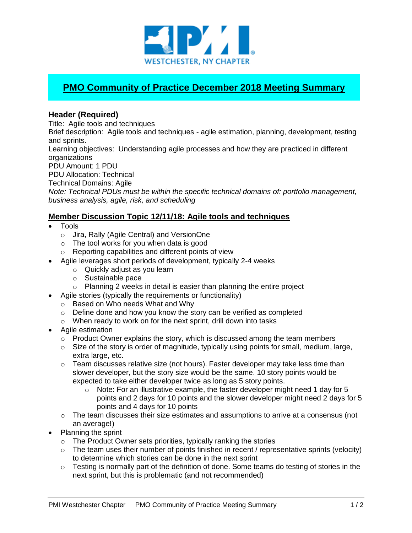

## **PMO Community of Practice December 2018 Meeting Summary**

## **Header (Required)**

Title: Agile tools and techniques

Brief description: Agile tools and techniques - agile estimation, planning, development, testing and sprints.

Learning objectives: Understanding agile processes and how they are practiced in different organizations

PDU Amount: 1 PDU

PDU Allocation: Technical

Technical Domains: Agile

*Note: Technical PDUs must be within the specific technical domains of: portfolio management, business analysis, agile, risk, and scheduling*

## **Member Discussion Topic 12/11/18: Agile tools and techniques**

- Tools
	- o Jira, Rally (Agile Central) and VersionOne
	- o The tool works for you when data is good
	- o Reporting capabilities and different points of view
- Agile leverages short periods of development, typically 2-4 weeks
	- o Quickly adjust as you learn
	- o Sustainable pace
	- o Planning 2 weeks in detail is easier than planning the entire project
- Agile stories (typically the requirements or functionality)
	- o Based on Who needs What and Why
	- o Define done and how you know the story can be verified as completed
	- o When ready to work on for the next sprint, drill down into tasks
- Agile estimation
	- $\circ$  Product Owner explains the story, which is discussed among the team members
	- $\circ$  Size of the story is order of magnitude, typically using points for small, medium, large, extra large, etc.
	- $\circ$  Team discusses relative size (not hours). Faster developer may take less time than slower developer, but the story size would be the same. 10 story points would be expected to take either developer twice as long as 5 story points.
		- $\circ$  Note: For an illustrative example, the faster developer might need 1 day for 5 points and 2 days for 10 points and the slower developer might need 2 days for 5 points and 4 days for 10 points
	- $\circ$  The team discusses their size estimates and assumptions to arrive at a consensus (not an average!)
- Planning the sprint
	- $\circ$  The Product Owner sets priorities, typically ranking the stories
	- $\circ$  The team uses their number of points finished in recent / representative sprints (velocity) to determine which stories can be done in the next sprint
	- o Testing is normally part of the definition of done. Some teams do testing of stories in the next sprint, but this is problematic (and not recommended)